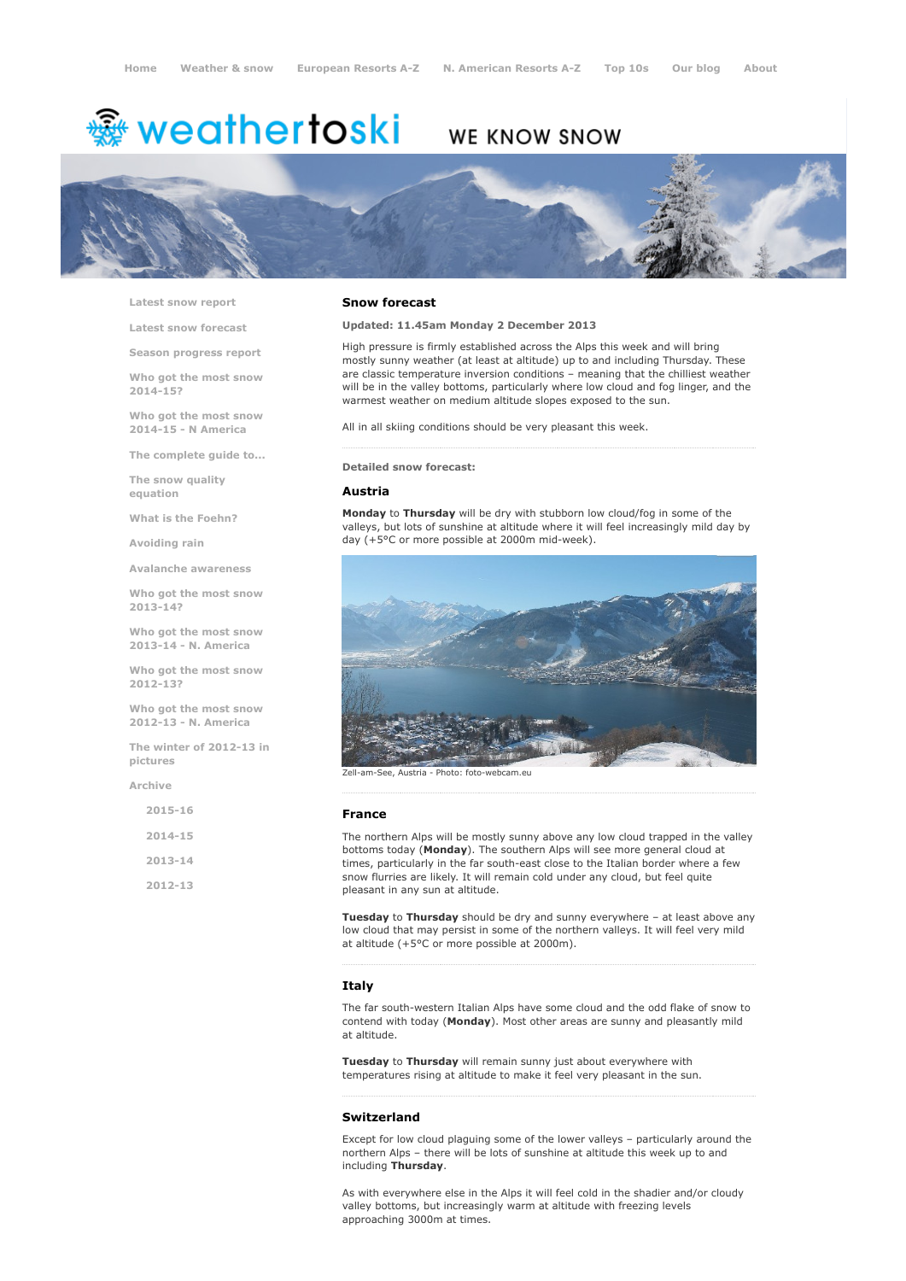# <del>鑾</del> weathertoski

## WE KNOW SNOW



Latest snow [report](http://www.weathertoski.co.uk/weather-snow/latest-snow-report/)

Latest snow [forecast](http://www.weathertoski.co.uk/weather-snow/latest-snow-forecast/)

Season [progress](http://www.weathertoski.co.uk/weather-snow/season-progress-report/) report

Who got the most snow 2014-15?

Who got the most snow 2014-15 - N America

The [complete](http://www.weathertoski.co.uk/weather-snow/the-complete-guide-to/) guide to...

The snow quality [equation](http://www.weathertoski.co.uk/weather-snow/the-snow-quality-equation/)

What is the [Foehn?](http://www.weathertoski.co.uk/weather-snow/what-is-the-foehn/)

[Avoiding](http://www.weathertoski.co.uk/weather-snow/avoiding-rain/) rain

Avalanche [awareness](http://www.weathertoski.co.uk/weather-snow/avalanche-awareness/)

Who got the most snow 2013-14?

Who got the most snow 2013-14 - N. America

Who got the most snow 2012-13?

Who got the most snow 2012-13 - N. America

The winter of 2012-13 in pictures

[Archive](http://www.weathertoski.co.uk/weather-snow/archive/)

| $2015 - 16$ |  |
|-------------|--|
| $2014 - 15$ |  |
| $2013 - 14$ |  |
| 2012-13     |  |

### Snow forecast

Updated: 11.45am Monday 2 December 2013

High pressure is firmly established across the Alps this week and will bring mostly sunny weather (at least at altitude) up to and including Thursday. These are classic temperature inversion conditions – meaning that the chilliest weather will be in the valley bottoms, particularly where low cloud and fog linger, and the warmest weather on medium altitude slopes exposed to the sun.

All in all skiing conditions should be very pleasant this week.

#### Detailed snow forecast:

#### Austria

Monday to Thursday will be dry with stubborn low cloud/fog in some of the valleys, but lots of sunshine at altitude where it will feel increasingly mild day by day (+5°C or more possible at 2000m mid-week).



Photo: foto-webcam.eu

#### France

The northern Alps will be mostly sunny above any low cloud trapped in the valley bottoms today (Monday). The southern Alps will see more general cloud at times, particularly in the far south-east close to the Italian border where a few snow flurries are likely. It will remain cold under any cloud, but feel quite pleasant in any sun at altitude.

Tuesday to Thursday should be dry and sunny everywhere - at least above any low cloud that may persist in some of the northern valleys. It will feel very mild at altitude (+5°C or more possible at 2000m).

#### **Italy**

The far south-western Italian Alps have some cloud and the odd flake of snow to contend with today (Monday). Most other areas are sunny and pleasantly mild at altitude.

Tuesday to Thursday will remain sunny just about everywhere with temperatures rising at altitude to make it feel very pleasant in the sun.

#### Switzerland

Except for low cloud plaguing some of the lower valleys – particularly around the northern Alps – there will be lots of sunshine at altitude this week up to and including Thursday.

As with everywhere else in the Alps it will feel cold in the shadier and/or cloudy valley bottoms, but increasingly warm at altitude with freezing levels approaching 3000m at times.